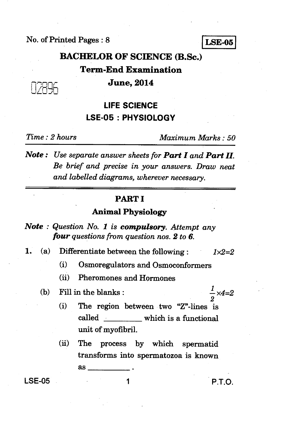No. of Printed Pages : 8 **LSE-05** 

# **BACHELOR OF SCIENCE (B.Sc.)**

# **Term-End Examination**

# **June, 2014**

# **LIFE SCIENCE LSE-05 : PHYSIOLOGY**

*Time : 2 hours Maximum Marks : 50* 

*Note : Use separate answer sheets for Part I and Part II. Be brief and precise in your answers. Draw neat and labelled diagrams, wherever necessary.* 

## **PART I**

### **Animal Physiology**

- *Note : Question No. 1 is compulsory. Attempt any four questions from question nos. 2 to 6.*
- *1.* (a) Differentiate between the following : *1x2=2* 
	- (i) Osmoregulators and Osmoconformers
	- (ii) Pheromones and Hormones
	- (b) Fill in the blanks :

 $\frac{1}{2} \times 4 = 2$ 

- (i) The region between two "Z"-lines is called which is a functional unit of myofibril.
- (ii) The process by which spermatid transforms into spermatozoa is known as

 $LSE-05$  and  $1$  P.T.O.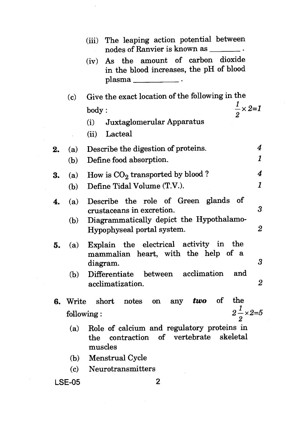|                                           | (iii)                       | The leaping action potential between<br>nodes of Ranvier is known as _______.                            |                      |  |  |
|-------------------------------------------|-----------------------------|----------------------------------------------------------------------------------------------------------|----------------------|--|--|
|                                           | (iv)                        | As the amount of carbon dioxide<br>in the blood increases, the pH of blood<br>$plasma$ ________________. |                      |  |  |
|                                           | $\left( \mathbf{c} \right)$ | Give the exact location of the following in the                                                          |                      |  |  |
|                                           | body:                       | $\frac{1}{2} \times 2 = 1$                                                                               |                      |  |  |
|                                           | (i)                         | Juxtaglomerular Apparatus                                                                                |                      |  |  |
|                                           | (ii)                        | Lacteal                                                                                                  |                      |  |  |
| 2.                                        | (a)                         | Describe the digestion of proteins.                                                                      | 4                    |  |  |
|                                           | (b)                         | Define food absorption.                                                                                  | 1                    |  |  |
| 3.                                        | (a)                         | How is $CO2$ transported by blood?                                                                       | 4                    |  |  |
|                                           | (b)                         | Define Tidal Volume (T.V.).                                                                              | $\mathbf{1}$         |  |  |
| 4.                                        | (a)                         | Describe the role of Green glands of<br>crustaceans in excretion.                                        | $\boldsymbol{\beta}$ |  |  |
|                                           | (b)                         | Diagrammatically depict the Hypothalamo-<br>Hypophyseal portal system.                                   | $\overline{2}$       |  |  |
| 5.                                        | (a)                         | Explain the electrical activity in the<br>mammalian heart, with the help of a<br>diagram.                | 3                    |  |  |
|                                           | (b)                         | Differentiate between acclimation<br>and<br>acclimatization.                                             | 2                    |  |  |
|                                           | 6. Write                    | the<br>two of<br>$short$ notes<br>any<br>on                                                              |                      |  |  |
| $2\frac{1}{2} \times 2 = 5$<br>following: |                             |                                                                                                          |                      |  |  |
|                                           | (a)<br>$_{\rm the}$         | Role of calcium and regulatory proteins in<br>contraction of vertebrate<br>skeletal<br>muscles           |                      |  |  |
|                                           | (b)                         | Menstrual Cycle                                                                                          |                      |  |  |
|                                           | (c)                         | Neurotransmitters                                                                                        |                      |  |  |
| <b>LSE-05</b>                             |                             | 2                                                                                                        |                      |  |  |

 $\mathcal{L}_{\mathcal{L}}$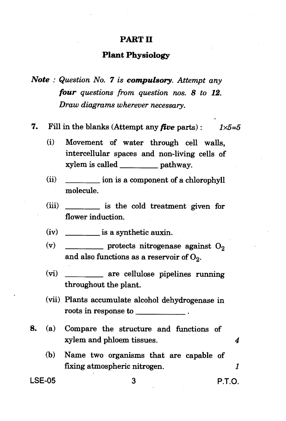### **PART II**

### **Plant Physiology**

*Note : Question No. 7 is compulsory. Attempt any four questions from question nos. 8 to 12. Draw diagrams wherever necessary.* 

**7.** Fill in the blanks (Attempt any *five* parts) :  $1 \times 5=5$ 

- (i) Movement of water through cell walls, intercellular spaces and non-living cells of xylem is called \_\_\_\_\_\_\_\_\_\_\_ pathway.
- $(i)$   $\qquad \qquad \text{ion is a component of a chlorophyll}$ molecule.
- (iii) is the cold treatment given for flower induction.
- $(iv)$  is a synthetic auxin.
- (v) protects nitrogenase against  $O_2$ and also functions as a reservoir of  $O_2$ .
- (vi) \_\_\_\_\_\_\_\_\_\_ are cellulose pipelines running throughout the plant.
- (vii) Plants accumulate alcohol dehydrogenase in roots in response to
- **8.** (a) Compare the structure and functions of xylem and phloem tissues. *4* 
	- (b) Name two organisms that are capable of fixing atmospheric nitrogen. *1*

LSE-05 3 P.T.O.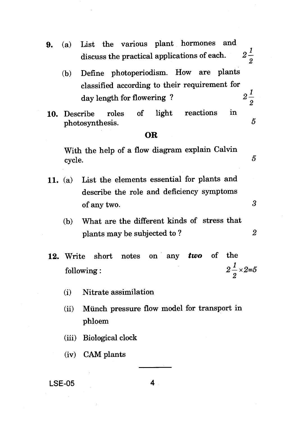- 9. (a) List the various plant hormones and discuss the practical applications of each.  $2\frac{1}{2}$ 
	- **(b)** Define photoperiodism. How are plants classified according to their requirement for day length for flowering?  $2\frac{1}{2}$
- 10. Describe roles of light reactions in photosynthesis. 5

#### **OR**

With the help of a flow diagram explain Calvin cycle.  $\overline{5}$ 

- 11. (a) List the elements essential for plants and describe the role and deficiency symptoms of any two.  $3<sup>3</sup>$ 
	- (b) What are the different kinds of stress that plants may be subjected to ? 2
- **12.** Write short notes on any *two* of the  $\mathbf{1}$ following : 2  $\times 2 = 5$ 
	- (i) Nitrate assimilation
	- (ii) Munch pressure flow model for transport in phloem
	- (iii) Biological clock
	- (iv) CAM plants

#### LSE-05 **4**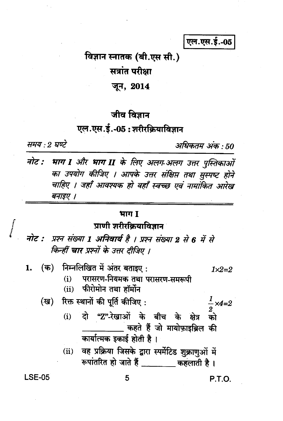एल.एस.ई.-05

विज्ञान स्नातक (बी.एस सी.)

सत्रांत परीक्षा

जून, 2014

# जीव विज्ञान

# एल.एस.ई.-05:शरीरक्रियाविज्ञान

समय : २ घण्टे

अधिकतम अंक : 50

नोट : भाग I और भाग II के लिए अलग अलग उत्तर पुस्तिकाओं का उपयोग कीजिए । आपके उत्तर संक्षिप्त तथा सुस्पष्ट होने चाहिए । जहाँ आवश्यक हो वहाँ स्वच्छ एवं नामांकित आरेख बनाइए ।

### भाग I

# प्राणी शरीरक्रियाविज्ञान

- प्रश्न संख्या 1 अनिवार्य है । प्रश्न संख्या 2 से 6 में से नोट : किन्हीं चार प्रश्नों के उत्तर दीजिए ।
- निम्नलिखित में अंतर बताइए: (क) 1.  $1 \times 2 = 2$ परासरण-नियमक तथा परासरण-समरूपी  $(i)$ (ii) फीरोमोन तथा हॉर्मोन रिक्त स्थानों की पूर्ति कीजिए: (ख)  $\frac{1}{2}$  ×4=2 दो "Z"-रेखाओं के बीच के क्षेत्र  $(i)$ को कहते हैं जो मायोफ़ाइब्रिल की कार्यात्मक इकाई होती है। वह प्रक्रिया जिसके द्वारा स्पर्मेटिड शुक्राणुओं में  $(ii)$ रूपांतरित हो जाते हैं कहलाती है।

**LSE-05** 

P.T.O.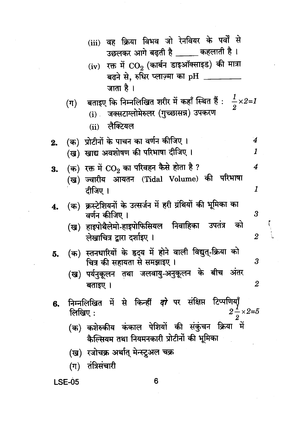|    | (iii) वह क्रिया विभव जो रेनवियर के पर्वों से<br>उछलकर आगे बढ़ती है _____ कहलाती है।                                                                                                     |                  |
|----|-----------------------------------------------------------------------------------------------------------------------------------------------------------------------------------------|------------------|
|    | $\left( \mathrm{iv}\right)$ रक्त में $\mathop{\rm CO}_{2}$ (कार्बन डाइऑक्साइड) की मात्रा<br>बढने से, रुधिर प्लाज़्मा का $\rm pH$ ___<br>जाता है ।                                       |                  |
|    | (ग) वताइए कि निम्नलिखित शरीर में कहाँ स्थित हैं : $\frac{1}{2}{\times}2{=}1$<br>जक्सटाग्लोमेरुलर (गुच्छासन्न) उपकरण<br>$(i)$ .<br>(ii) लैक्टियल                                         |                  |
| 2. | $\overline{\mathbf{4}}$<br>(क) प्रोटीनों के पाचन का वर्णन कीजिए ।<br>(ख) खाद्य अवशोषण की परिभाषा दीजिए ।<br>1                                                                           |                  |
| 3. | (क)  रक्त में $\mathrm{CO}_2$ का परिवहन कैसे होता है ?<br>$\overline{4}$<br>(ख) ज्वारीय आयतन (Tidal Volume) की परिभाषा<br>1<br>दीजिए ।                                                  |                  |
| 4. | (क) क्रस्टेशियनों के उत्सर्जन में हरी ग्रंथियों की भूमिका का<br>3<br>वर्णन कीजिए ।<br>(ख) हाइपोथैलेमो-हाइपोफिसियल निवाहिका उपतंत्र को<br>लेखाचित्र द्वारा दर्शाइए ।<br>$\boldsymbol{2}$ |                  |
| 5. | (क) स्तनधारियों के हृदय में होने वाली विद्युत्-क्रिया को<br>चित्र की सहायता से समझाइए ।<br>$\boldsymbol{\beta}$<br>(ख) पर्यनुकूलन तथा जलवायु-अनुकूलन के बीच अंतर<br>बताइए ।             | $\boldsymbol{2}$ |
| 6. | निम्नलिखित में से किन्हीं <i>दो</i> पर संक्षिप्त टिप्पणियाँ<br>$2\frac{1}{2} \times 2 = 5$<br>लिखिए:                                                                                    |                  |
|    | (क) कशेरुकीय कंकाल पेशियों की संकुंचन क्रिया में<br>कैल्सियम तथा नियमनकारी प्रोटीनों की भूमिका                                                                                          |                  |
|    | (ख)  रजोचक्र अर्थात् मेन्स्ट्रुअल चक्र<br>(ग) तंत्रिसंचारी                                                                                                                              |                  |

 $\begin{bmatrix} 1 & 1 \\ 1 & 1 \\ 1 & 1 \end{bmatrix}$ 

**LSE-05**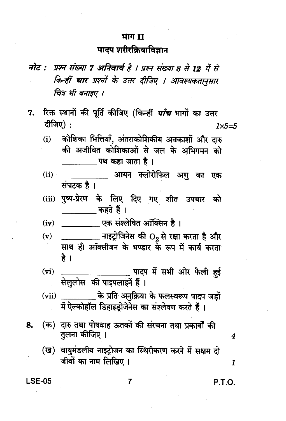#### भाग II

# पादप शरीरक्रियाविज्ञान

- नोट : प्रश्न संख्या 7 अनिवार्य है । प्रश्न संख्या 8 से 12 में से किन्हीं चार प्रश्नों के उत्तर दीजिए । आवश्यकतानुसार चित्र भी बनाइए ।
- रिक्त स्थानों की पूर्ति कीजिए (किन्हीं *पाँच* भागों का उत्तर 7. दीजिए):  $1\times 5=5$ 
	- कोशिका भित्तियाँ, अंतराकोशिकीय अवकाशों और दारु  $(i)$ की अजीवित कोशिकाओं से जल के अभिगमन को \_\_\_\_\_\_\_ पथ कहा जाता है ।
	- $(ii)$ आयन क्लोरोफिल अण का एक संघटक है ।
	- पुष्प-प्रेरण के लिए दिए गए शीत उपचार को  $(iii)$ कहते हैं ।
	- ्राः पक संश्लेषित ऑक्सिन है ।  $(iv)$
	- \_\_\_\_\_\_\_ नाइट्रोजिनेस की O<sub>9</sub> से रक्षा करता है और  $(v)$ साथ ही ऑक्सीजन के भण्डार के रूप में कार्य करता है ।
	- \_\_\_\_\_\_\_\_\_\_ पादप में सभी ओर फैली हुई  $(vi)$ सेलुलोस की पाइपलाइनें हैं।
	- \_\_\_\_\_\_\_ के प्रति अनुक्रिया के फलस्वरूप पादप जड़ों  $(vii)$ में ऐल्कोहॉल डिहाइडोजेनेस का संश्लेषण करते हैं।
- (क) दारु तथा पोषवाह ऊतकों की संरचना तथा प्रकार्यों की 8. तलना कीजिए ।
	- (ख) वायमंडलीय नाइटोजन का स्थिरीकरण करने में सक्षम दो जीवों का नाम लिखिए ।

**LSE-05** 

P.T.O.

4

1

 $\overline{7}$